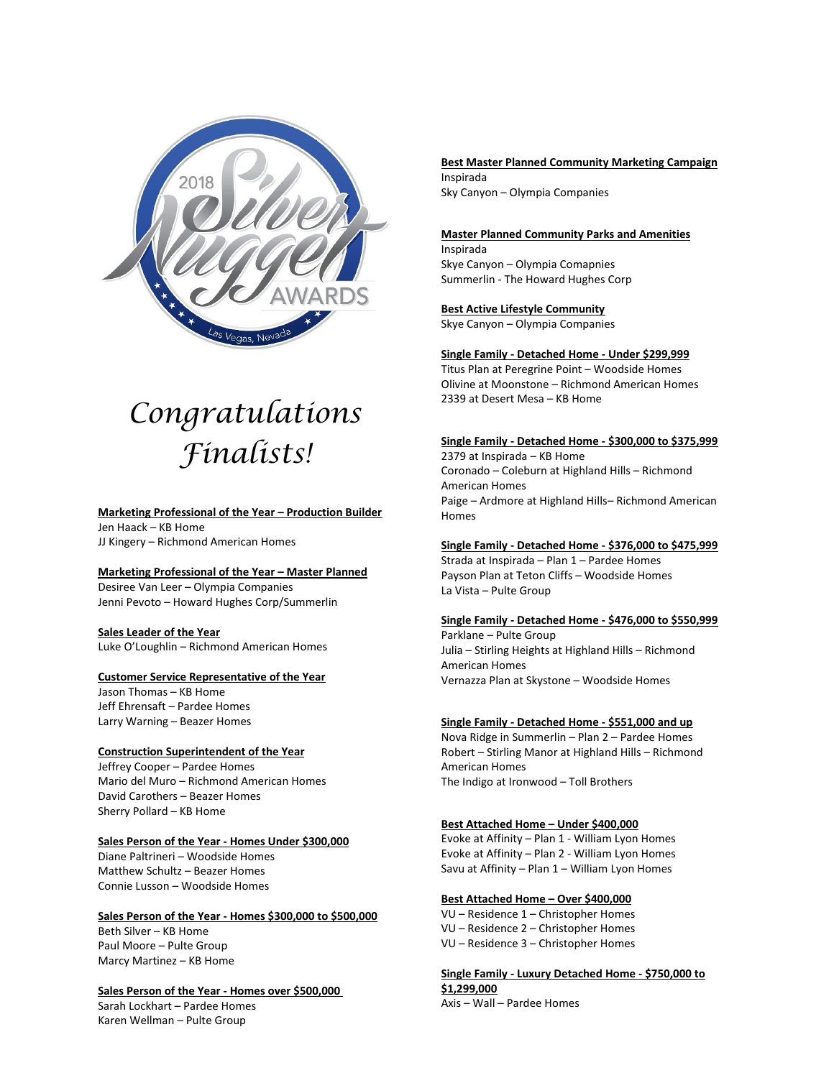

# *Congratulations Finalists!*

# **Marketing Professional of the Year – Production Builder**

Jen Haack – KB Home JJ Kingery – Richmond American Homes

#### **Marketing Professional of the Year – Master Planned**

Desiree Van Leer – Olympia Companies Jenni Pevoto – Howard Hughes Corp/Summerlin

**Sales Leader of the Year** Luke O'Loughlin – Richmond American Homes

# **Customer Service Representative of the Year**

Jason Thomas – KB Home Jeff Ehrensaft – Pardee Homes Larry Warning – Beazer Homes

#### **Construction Superintendent of the Year**

Jeffrey Cooper – Pardee Homes Mario del Muro – Richmond American Homes David Carothers – Beazer Homes Sherry Pollard – KB Home

# **Sales Person of the Year - Homes Under \$300,000**

Diane Paltrineri – Woodside Homes Matthew Schultz – Beazer Homes Connie Lusson – Woodside Homes

#### **Sales Person of the Year - Homes \$300,000 to \$500,000**

Beth Silver – KB Home Paul Moore – Pulte Group Marcy Martinez – KB Home

# **Sales Person of the Year - Homes over \$500,000**

Sarah Lockhart – Pardee Homes Karen Wellman – Pulte Group

**Best Master Planned Community Marketing Campaign** Inspirada Sky Canyon – Olympia Companies

# **Master Planned Community Parks and Amenities** Inspirada

Skye Canyon – Olympia Comapnies Summerlin - The Howard Hughes Corp

# **Best Active Lifestyle Community**

Skye Canyon – Olympia Companies

# **Single Family - Detached Home - Under \$299,999**

Titus Plan at Peregrine Point – Woodside Homes Olivine at Moonstone – Richmond American Homes 2339 at Desert Mesa – KB Home

# **Single Family - Detached Home - \$300,000 to \$375,999**

2379 at Inspirada – KB Home Coronado – Coleburn at Highland Hills – Richmond American Homes Paige – Ardmore at Highland Hills– Richmond American Homes

# **Single Family - Detached Home - \$376,000 to \$475,999**

Strada at Inspirada – Plan 1 – Pardee Homes Payson Plan at Teton Cliffs – Woodside Homes La Vista – Pulte Group

# **Single Family - Detached Home - \$476,000 to \$550,999**

Parklane – Pulte Group Julia – Stirling Heights at Highland Hills – Richmond American Homes Vernazza Plan at Skystone – Woodside Homes

# **Single Family - Detached Home - \$551,000 and up**

Nova Ridge in Summerlin – Plan 2 – Pardee Homes Robert – Stirling Manor at Highland Hills – Richmond American Homes The Indigo at Ironwood – Toll Brothers

# **Best Attached Home – Under \$400,000**

Evoke at Affinity – Plan 1 - William Lyon Homes Evoke at Affinity – Plan 2 - William Lyon Homes Savu at Affinity – Plan 1 – William Lyon Homes

# **Best Attached Home – Over \$400,000**

VU – Residence 1 – Christopher Homes VU – Residence 2 – Christopher Homes VU – Residence 3 – Christopher Homes

**Single Family - Luxury Detached Home - \$750,000 to \$1,299,000**

Axis – Wall – Pardee Homes